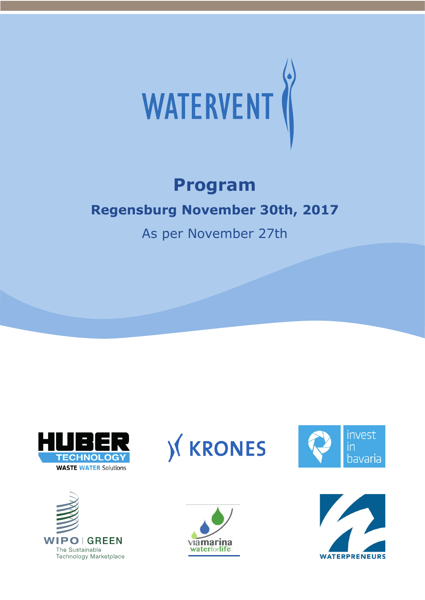

## **Program**

## **Regensburg November 30th, 2017**

As per November 27th











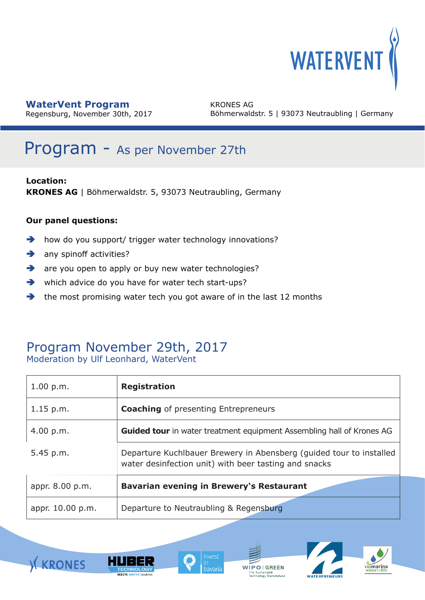

Regensburg, November 30th, 2017

KRONES AG Böhmerwaldstr. 5 | 93073 Neutraubling | Germany

## Program - As per November 27th

**Location: KRONES AG** | Böhmerwaldstr. 5, 93073 Neutraubling, Germany

#### **Our panel questions:**

- **how do you support/ trigger water technology innovations?**
- $\rightarrow$  any spinoff activities?
- are you open to apply or buy new water technologies?
- which advice do you have for water tech start-ups?
- $\rightarrow$  the most promising water tech you got aware of in the last 12 months

#### Program November 29th, 2017 Moderation by Ulf Leonhard, WaterVent

| 1.00 p.m.        | <b>Registration</b>                                                                                                          |
|------------------|------------------------------------------------------------------------------------------------------------------------------|
| $1.15$ p.m.      | <b>Coaching</b> of presenting Entrepreneurs                                                                                  |
| 4.00 p.m.        | <b>Guided tour</b> in water treatment equipment Assembling hall of Krones AG                                                 |
| $5.45$ p.m.      | Departure Kuchlbauer Brewery in Abensberg (guided tour to installed<br>water desinfection unit) with beer tasting and snacks |
| appr. 8.00 p.m.  | <b>Bavarian evening in Brewery's Restaurant</b>                                                                              |
| appr. 10.00 p.m. | Departure to Neutraubling & Regensburg                                                                                       |









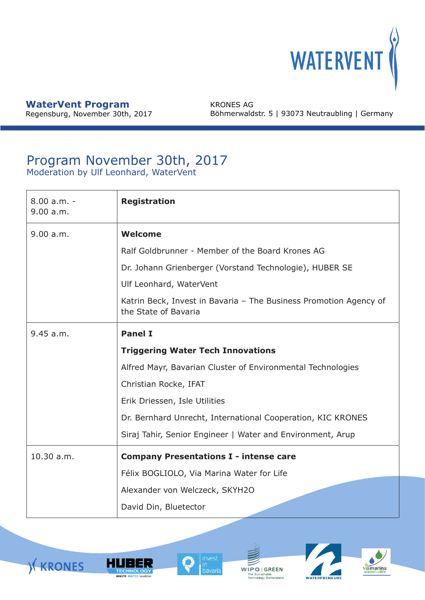

Regensburg, November 30th, 2017

KRONES AG Böhmerwaldstr. 5 | 93073 Neutraubling | Germany

#### Program November 30th, 2017 Moderation by Ulf Leonhard, WaterVent

| $8.00 a.m. -$<br>9.00 a.m. | <b>Registration</b>                                                                       |  |  |
|----------------------------|-------------------------------------------------------------------------------------------|--|--|
| 9.00 a.m.                  | <b>Welcome</b>                                                                            |  |  |
|                            | Ralf Goldbrunner - Member of the Board Krones AG                                          |  |  |
|                            | Dr. Johann Grienberger (Vorstand Technologie), HUBER SE                                   |  |  |
|                            | Ulf Leonhard, WaterVent                                                                   |  |  |
|                            | Katrin Beck, Invest in Bavaria - The Business Promotion Agency of<br>the State of Bavaria |  |  |
| 9.45 a.m.                  | <b>Panel I</b>                                                                            |  |  |
|                            | <b>Triggering Water Tech Innovations</b>                                                  |  |  |
|                            | Alfred Mayr, Bavarian Cluster of Environmental Technologies                               |  |  |
|                            | Christian Rocke, IFAT                                                                     |  |  |
|                            | Erik Driessen, Isle Utilities                                                             |  |  |
|                            | Dr. Bernhard Unrecht, International Cooperation, KIC KRONES                               |  |  |
|                            | Siraj Tahir, Senior Engineer   Water and Environment, Arup                                |  |  |
| 10.30 a.m.                 | <b>Company Presentations I - intense care</b>                                             |  |  |
|                            | Félix BOGLIOLO, Via Marina Water for Life                                                 |  |  |
|                            | Alexander von Welczeck, SKYH2O                                                            |  |  |
|                            | David Din, Bluetector                                                                     |  |  |







WIPOIGREEN The Sustainable<br>Technology Marketplace

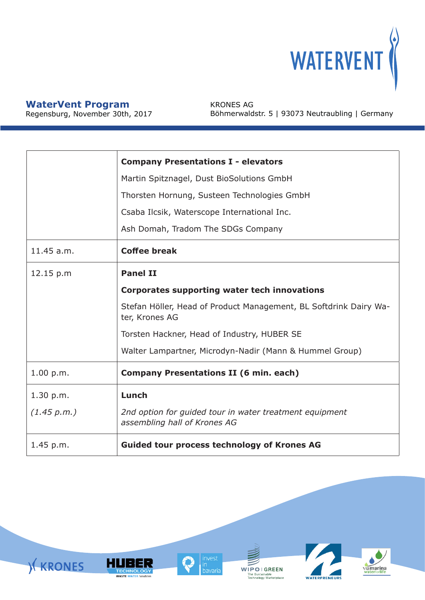

Regensburg, November 30th, 2017

KRONES AG Böhmerwaldstr. 5 | 93073 Neutraubling | Germany

|             | <b>Company Presentations I - elevators</b>                                                 |  |  |
|-------------|--------------------------------------------------------------------------------------------|--|--|
|             |                                                                                            |  |  |
|             | Martin Spitznagel, Dust BioSolutions GmbH                                                  |  |  |
|             | Thorsten Hornung, Susteen Technologies GmbH<br>Csaba Ilcsik, Waterscope International Inc. |  |  |
|             |                                                                                            |  |  |
|             | Ash Domah, Tradom The SDGs Company                                                         |  |  |
| 11.45 a.m.  | <b>Coffee break</b>                                                                        |  |  |
| 12.15 p.m   | <b>Panel II</b>                                                                            |  |  |
|             | <b>Corporates supporting water tech innovations</b>                                        |  |  |
|             | Stefan Höller, Head of Product Management, BL Softdrink Dairy Wa-<br>ter, Krones AG        |  |  |
|             | Torsten Hackner, Head of Industry, HUBER SE                                                |  |  |
|             | Walter Lampartner, Microdyn-Nadir (Mann & Hummel Group)                                    |  |  |
| 1.00 p.m.   | <b>Company Presentations II (6 min. each)</b>                                              |  |  |
| 1.30 p.m.   | Lunch                                                                                      |  |  |
| (1.45 p.m.) | 2nd option for guided tour in water treatment equipment<br>assembling hall of Krones AG    |  |  |
| 1.45 p.m.   | <b>Guided tour process technology of Krones AG</b>                                         |  |  |

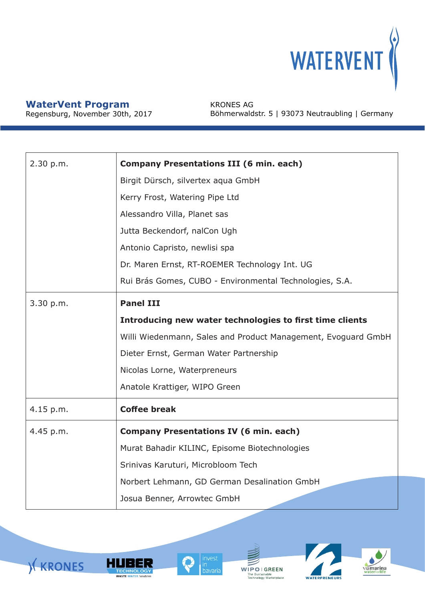

Regensburg, November 30th, 2017

KRONES AG Böhmerwaldstr. 5 | 93073 Neutraubling | Germany

| 2.30 p.m. | <b>Company Presentations III (6 min. each)</b>                |  |  |  |
|-----------|---------------------------------------------------------------|--|--|--|
|           | Birgit Dürsch, silvertex aqua GmbH                            |  |  |  |
|           | Kerry Frost, Watering Pipe Ltd                                |  |  |  |
|           | Alessandro Villa, Planet sas                                  |  |  |  |
|           | Jutta Beckendorf, nalCon Ugh                                  |  |  |  |
|           | Antonio Capristo, newlisi spa                                 |  |  |  |
|           | Dr. Maren Ernst, RT-ROEMER Technology Int. UG                 |  |  |  |
|           | Rui Brás Gomes, CUBO - Environmental Technologies, S.A.       |  |  |  |
| 3.30 p.m. | <b>Panel III</b>                                              |  |  |  |
|           | Introducing new water technologies to first time clients      |  |  |  |
|           | Willi Wiedenmann, Sales and Product Management, Evoguard GmbH |  |  |  |
|           | Dieter Ernst, German Water Partnership                        |  |  |  |
|           | Nicolas Lorne, Waterpreneurs                                  |  |  |  |
|           | Anatole Krattiger, WIPO Green                                 |  |  |  |
| 4.15 p.m. | <b>Coffee break</b>                                           |  |  |  |
| 4.45 p.m. | <b>Company Presentations IV (6 min. each)</b>                 |  |  |  |
|           | Murat Bahadir KILINC, Episome Biotechnologies                 |  |  |  |
|           | Srinivas Karuturi, Microbloom Tech                            |  |  |  |
|           | Norbert Lehmann, GD German Desalination GmbH                  |  |  |  |
|           | Josua Benner, Arrowtec GmbH                                   |  |  |  |







WIPOI GREEN The Sustainable<br>Technology Marketplace

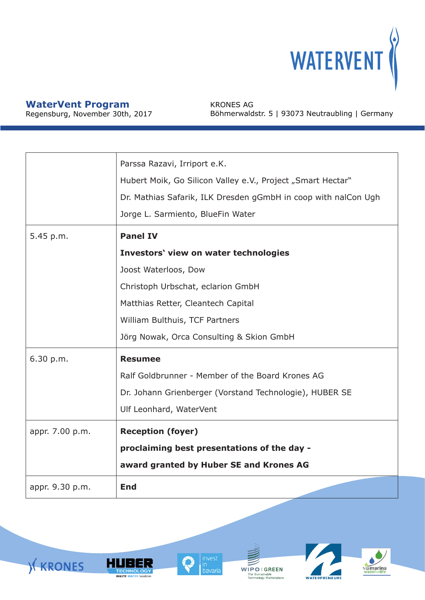

**KRONES** 

Regensburg, November 30th, 2017

KRONES AG Böhmerwaldstr. 5 | 93073 Neutraubling | Germany

|                              | Parssa Razavi, Irriport e.K.<br>Hubert Moik, Go Silicon Valley e.V., Project "Smart Hectar"<br>Dr. Mathias Safarik, ILK Dresden gGmbH in coop with nalCon Ugh<br>Jorge L. Sarmiento, BlueFin Water                                        |
|------------------------------|-------------------------------------------------------------------------------------------------------------------------------------------------------------------------------------------------------------------------------------------|
| 5.45 p.m.                    | <b>Panel IV</b><br>Investors' view on water technologies<br>Joost Waterloos, Dow<br>Christoph Urbschat, eclarion GmbH<br>Matthias Retter, Cleantech Capital<br>William Bulthuis, TCF Partners<br>Jörg Nowak, Orca Consulting & Skion GmbH |
| 6.30 p.m.<br>appr. 7.00 p.m. | <b>Resumee</b><br>Ralf Goldbrunner - Member of the Board Krones AG<br>Dr. Johann Grienberger (Vorstand Technologie), HUBER SE<br>Ulf Leonhard, WaterVent<br><b>Reception (foyer)</b>                                                      |
|                              | proclaiming best presentations of the day -<br>award granted by Huber SE and Krones AG                                                                                                                                                    |
| appr. 9.30 p.m.              | <b>End</b>                                                                                                                                                                                                                                |



in.

'''<br>bavaria

**HUBER** 

**TECHNOLOGY**<br>WASTE WATER Solutions





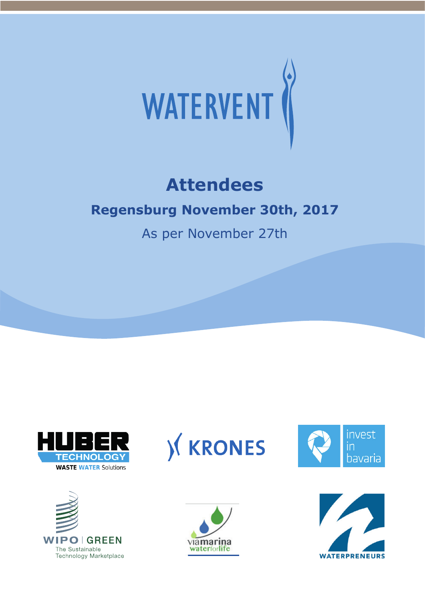

# **Attendees**

## **Regensburg November 30th, 2017**

As per November 27th











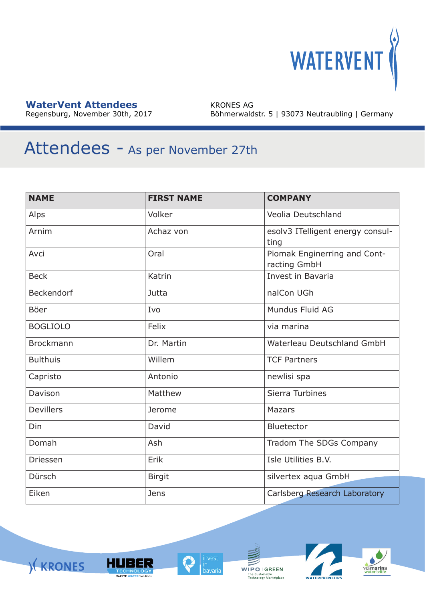

Regensburg, November 30th, 2017

KRONES AG Böhmerwaldstr. 5 | 93073 Neutraubling | Germany

# Attendees - As per November 27th

| <b>NAME</b>       | <b>FIRST NAME</b> | <b>COMPANY</b>                               |
|-------------------|-------------------|----------------------------------------------|
| Alps              | Volker            | Veolia Deutschland                           |
| Arnim             | Achaz von         | esolv3 ITelligent energy consul-<br>ting     |
| Avci              | Oral              | Piomak Enginerring and Cont-<br>racting GmbH |
| <b>Beck</b>       | Katrin            | Invest in Bavaria                            |
| <b>Beckendorf</b> | Jutta             | nalCon UGh                                   |
| <b>Böer</b>       | Ivo               | Mundus Fluid AG                              |
| <b>BOGLIOLO</b>   | Felix             | via marina                                   |
| <b>Brockmann</b>  | Dr. Martin        | Waterleau Deutschland GmbH                   |
| <b>Bulthuis</b>   | Willem            | <b>TCF Partners</b>                          |
| Capristo          | Antonio           | newlisi spa                                  |
| Davison           | Matthew           | Sierra Turbines                              |
| <b>Devillers</b>  | Jerome            | <b>Mazars</b>                                |
| Din               | David             | <b>Bluetector</b>                            |
| Domah             | Ash               | Tradom The SDGs Company                      |
| Driessen          | Erik              | Isle Utilities B.V.                          |
| Dürsch            | <b>Birgit</b>     | silvertex aqua GmbH                          |
| Eiken             | <b>Jens</b>       | Carlsberg Research Laboratory                |







 $\begin{array}{c} \textbf{W}\overline{\textbf{I}}\textbf{P}\textbf{O} \mid \textbf{G} \textbf{R} \textbf{E} \textbf{E} \textbf{N} \\ \text{The Sustainable Technology Marketplace} \end{array}$ 

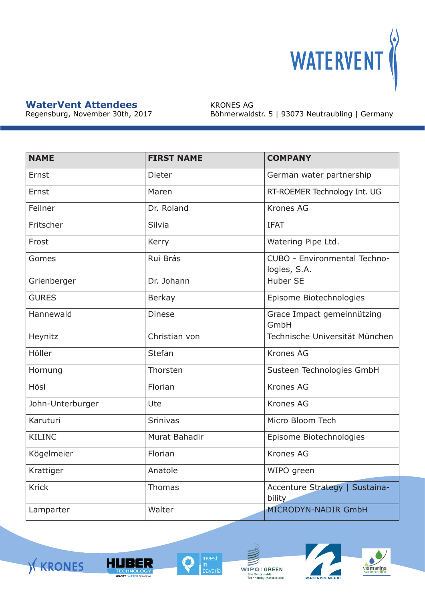

Regensburg, November 30th, 2017

KRONES AG Böhmerwaldstr. 5 | 93073 Neutraubling | Germany

| <b>NAME</b>      | <b>FIRST NAME</b> | <b>COMPANY</b>                                  |
|------------------|-------------------|-------------------------------------------------|
| Ernst            | Dieter            | German water partnership                        |
| Ernst            | Maren             | RT-ROEMER Technology Int. UG                    |
| Feilner          | Dr. Roland        | <b>Krones AG</b>                                |
| Fritscher        | Silvia            | <b>IFAT</b>                                     |
| Frost            | Kerry             | Watering Pipe Ltd.                              |
| Gomes            | Rui Brás          | CUBO - Environmental Techno-<br>logies, S.A.    |
| Grienberger      | Dr. Johann        | <b>Huber SE</b>                                 |
| <b>GURES</b>     | <b>Berkay</b>     | Episome Biotechnologies                         |
| Hannewald        | <b>Dinese</b>     | Grace Impact gemeinnützing<br>GmbH              |
| Heynitz          | Christian von     | Technische Universität München                  |
| Höller           | Stefan            | <b>Krones AG</b>                                |
| Hornung          | Thorsten          | Susteen Technologies GmbH                       |
| Hösl             | Florian           | <b>Krones AG</b>                                |
| John-Unterburger | Ute               | <b>Krones AG</b>                                |
| Karuturi         | <b>Srinivas</b>   | Micro Bloom Tech                                |
| <b>KILINC</b>    | Murat Bahadir     | Episome Biotechnologies                         |
| Kögelmeier       | Florian           | <b>Krones AG</b>                                |
| Krattiger        | Anatole           | WIPO green                                      |
| <b>Krick</b>     | Thomas            | Accenture Strategy   Sustaina-<br><b>bility</b> |
| Lamparter        | Walter            | <b>MICRODYN-NADIR GmbH</b>                      |







 $\begin{array}{c} \textbf{W} \textbf{I} \textbf{P} \textbf{O} \text{ } | \text{ } \textbf{G} \textbf{R} \textbf{E} \textbf{E} \textbf{N} \\ \text{The Sustainable Technology Marketplace} \end{array}$ 

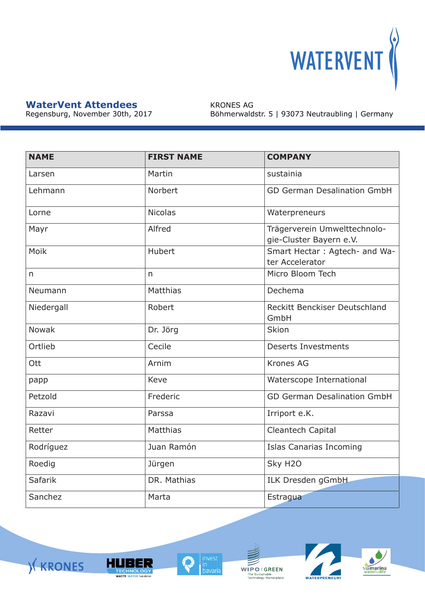

**KRONES** 

Regensburg, November 30th, 2017

KRONES AG Böhmerwaldstr. 5 | 93073 Neutraubling | Germany

| <b>NAME</b>    | <b>FIRST NAME</b> | <b>COMPANY</b>                                          |
|----------------|-------------------|---------------------------------------------------------|
| Larsen         | Martin            | sustainia                                               |
| Lehmann        | Norbert           | <b>GD German Desalination GmbH</b>                      |
| Lorne          | <b>Nicolas</b>    | Waterpreneurs                                           |
| Mayr           | Alfred            | Trägerverein Umwelttechnolo-<br>gie-Cluster Bayern e.V. |
| Moik           | <b>Hubert</b>     | Smart Hectar: Agtech- and Wa-<br>ter Accelerator        |
| n              | n                 | Micro Bloom Tech                                        |
| Neumann        | <b>Matthias</b>   | Dechema                                                 |
| Niedergall     | Robert            | Reckitt Benckiser Deutschland<br>GmbH                   |
| <b>Nowak</b>   | Dr. Jörg          | Skion                                                   |
| Ortlieb        | Cecile            | <b>Deserts Investments</b>                              |
| Ott            | Arnim             | <b>Krones AG</b>                                        |
| papp           | Keve              | Waterscope International                                |
| Petzold        | Frederic          | <b>GD German Desalination GmbH</b>                      |
| Razavi         | Parssa            | Irriport e.K.                                           |
| Retter         | <b>Matthias</b>   | Cleantech Capital                                       |
| Rodríguez      | Juan Ramón        | <b>Islas Canarias Incoming</b>                          |
| Roedig         | Jürgen            | Sky H <sub>20</sub>                                     |
| <b>Safarik</b> | DR. Mathias       | ILK Dresden gGmbH                                       |
| Sanchez        | Marta             | Estragua                                                |



**HUBER** 

**TECHNOLOGY**<br>WASTE WATER Solutions

 $\begin{array}{c} \textbf{W} \textbf{I} \textbf{P} \textbf{O} \text{ } | \text{ } \textbf{G} \textbf{R} \textbf{E} \textbf{E} \textbf{N} \\ \text{The Sustainable Technology Marketplace} \end{array}$